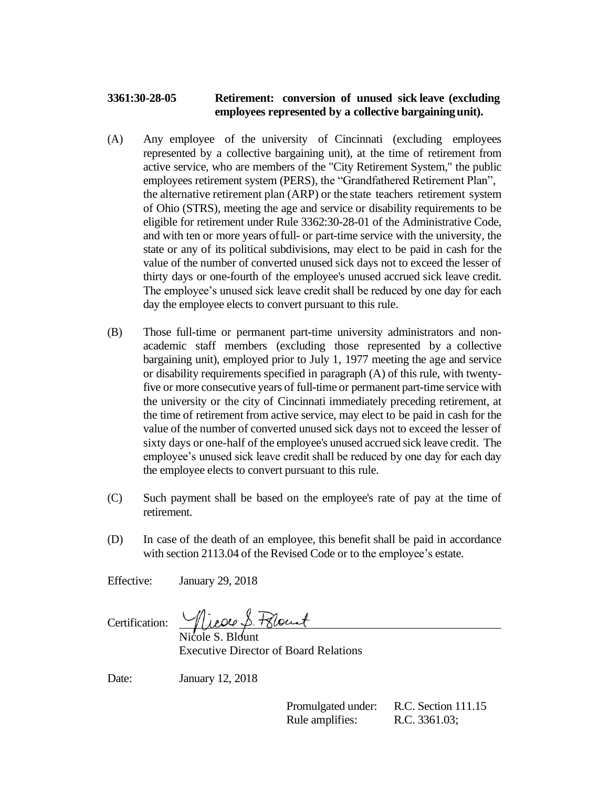## **3361:30-28-05 Retirement: conversion of unused sick leave (excluding employees represented by a collective bargainingunit).**

- (A) Any employee of the university of Cincinnati (excluding employees represented by a collective bargaining unit), at the time of retirement from active service, who are members of the "City Retirement System," the public employees retirement system (PERS), the "Grandfathered Retirement Plan", the alternative retirement plan (ARP) or the state teachers retirement system of Ohio (STRS), meeting the age and service or disability requirements to be eligible for retirement under Rule 3362:30-28-01 of the Administrative Code, and with ten or more years offull- or part-time service with the university, the state or any of its political subdivisions, may elect to be paid in cash for the value of the number of converted unused sick days not to exceed the lesser of thirty days or one-fourth of the employee's unused accrued sick leave credit. The employee's unused sick leave credit shall be reduced by one day for each day the employee elects to convert pursuant to this rule.
- (B) Those full-time or permanent part-time university administrators and nonacademic staff members (excluding those represented by a collective bargaining unit), employed prior to July 1, 1977 meeting the age and service or disability requirements specified in paragraph (A) of this rule, with twentyfive or more consecutive years of full-time or permanent part-time service with the university or the city of Cincinnati immediately preceding retirement, at the time of retirement from active service, may elect to be paid in cash for the value of the number of converted unused sick days not to exceed the lesser of sixty days or one-half of the employee's unused accrued sick leave credit. The employee's unused sick leave credit shall be reduced by one day for each day the employee elects to convert pursuant to this rule.
- (C) Such payment shall be based on the employee's rate of pay at the time of retirement.
- (D) In case of the death of an employee, this benefit shall be paid in accordance with section 2113.04 of the Revised Code or to the employee's estate.

Effective: January 29, 2018

Certification:

Nicole S. Blount Executive Director of Board Relations

Date: January 12, 2018

Promulgated under: R.C. Section 111.15 Rule amplifies: R.C. 3361.03;